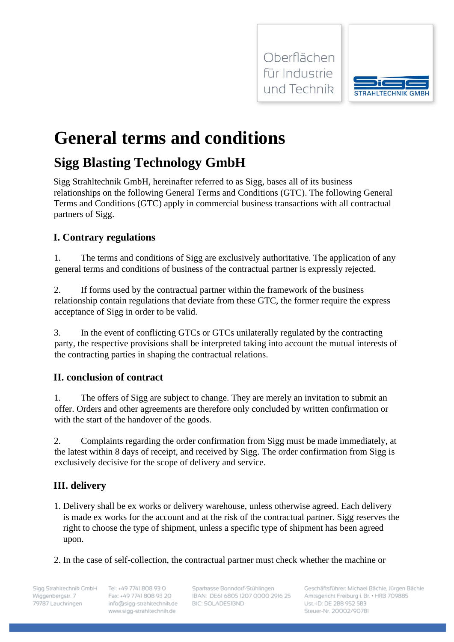



# **General terms and conditions**

# **Sigg Blasting Technology GmbH**

Sigg Strahltechnik GmbH, hereinafter referred to as Sigg, bases all of its business relationships on the following General Terms and Conditions (GTC). The following General Terms and Conditions (GTC) apply in commercial business transactions with all contractual partners of Sigg.

# **I. Contrary regulations**

1. The terms and conditions of Sigg are exclusively authoritative. The application of any general terms and conditions of business of the contractual partner is expressly rejected.

2. If forms used by the contractual partner within the framework of the business relationship contain regulations that deviate from these GTC, the former require the express acceptance of Sigg in order to be valid.

3. In the event of conflicting GTCs or GTCs unilaterally regulated by the contracting party, the respective provisions shall be interpreted taking into account the mutual interests of the contracting parties in shaping the contractual relations.

# **II. conclusion of contract**

1. The offers of Sigg are subject to change. They are merely an invitation to submit an offer. Orders and other agreements are therefore only concluded by written confirmation or with the start of the handover of the goods.

2. Complaints regarding the order confirmation from Sigg must be made immediately, at the latest within 8 days of receipt, and received by Sigg. The order confirmation from Sigg is exclusively decisive for the scope of delivery and service.

# **III. delivery**

- 1. Delivery shall be ex works or delivery warehouse, unless otherwise agreed. Each delivery is made ex works for the account and at the risk of the contractual partner. Sigg reserves the right to choose the type of shipment, unless a specific type of shipment has been agreed upon.
- 2. In the case of self-collection, the contractual partner must check whether the machine or

Sigg Strahltechnik GmbH Wiggenbergstr. 7 79787 Lauchringen

Tel: +49 7741 808 93 0 Fax: +49 7741 808 93 20 info@sigg-strahltechnik.de www.sigg-strahltechnik.de

Sparkasse Bonndorf-Stühlingen IBAN: DE61 6805 1207 0000 2916 25 **BIC: SOLADESIBND**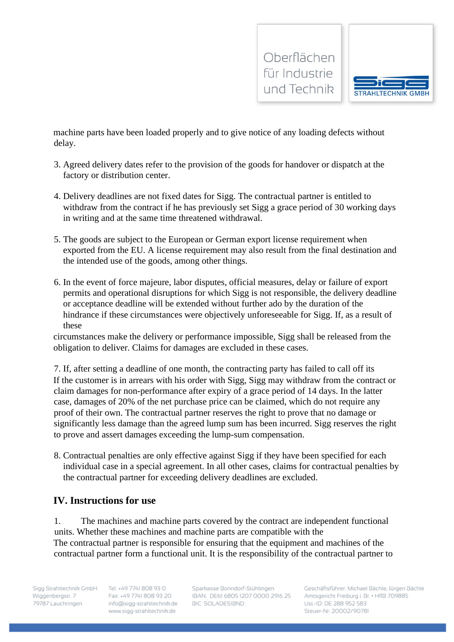



machine parts have been loaded properly and to give notice of any loading defects without delay.

- 3. Agreed delivery dates refer to the provision of the goods for handover or dispatch at the factory or distribution center.
- 4. Delivery deadlines are not fixed dates for Sigg. The contractual partner is entitled to withdraw from the contract if he has previously set Sigg a grace period of 30 working days in writing and at the same time threatened withdrawal.
- 5. The goods are subject to the European or German export license requirement when exported from the EU. A license requirement may also result from the final destination and the intended use of the goods, among other things.
- 6. In the event of force majeure, labor disputes, official measures, delay or failure of export permits and operational disruptions for which Sigg is not responsible, the delivery deadline or acceptance deadline will be extended without further ado by the duration of the hindrance if these circumstances were objectively unforeseeable for Sigg. If, as a result of these

circumstances make the delivery or performance impossible, Sigg shall be released from the obligation to deliver. Claims for damages are excluded in these cases.

7. If, after setting a deadline of one month, the contracting party has failed to call off its If the customer is in arrears with his order with Sigg, Sigg may withdraw from the contract or claim damages for non-performance after expiry of a grace period of 14 days. In the latter case, damages of 20% of the net purchase price can be claimed, which do not require any proof of their own. The contractual partner reserves the right to prove that no damage or significantly less damage than the agreed lump sum has been incurred. Sigg reserves the right to prove and assert damages exceeding the lump-sum compensation.

8. Contractual penalties are only effective against Sigg if they have been specified for each individual case in a special agreement. In all other cases, claims for contractual penalties by the contractual partner for exceeding delivery deadlines are excluded.

#### **IV. Instructions for use**

1. The machines and machine parts covered by the contract are independent functional units. Whether these machines and machine parts are compatible with the The contractual partner is responsible for ensuring that the equipment and machines of the contractual partner form a functional unit. It is the responsibility of the contractual partner to

Sigg Strahltechnik GmbH Wiggenbergstr. 7 79787 Lauchringen

Tel: +49 7741 808 93 0 Fax: +49 7741 808 93 20 info@sigg-strahltechnik.de www.sigg-strahltechnik.de

Sparkasse Bonndorf-Stühlingen IBAN: DE61 6805 1207 0000 2916 25 **BIC: SOLADESIBND**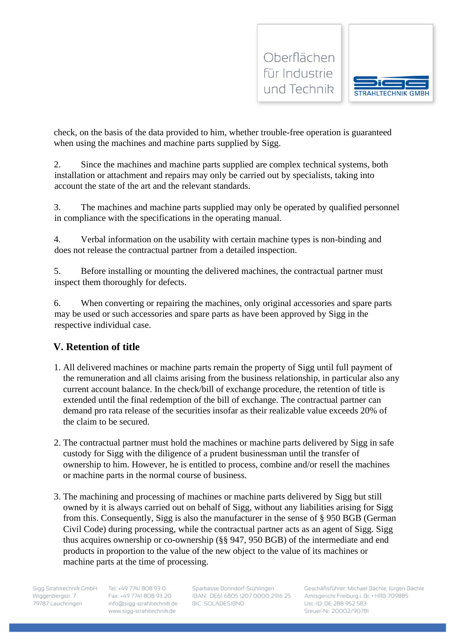



check, on the basis of the data provided to him, whether trouble-free operation is guaranteed when using the machines and machine parts supplied by Sigg.

2. Since the machines and machine parts supplied are complex technical systems, both installation or attachment and repairs may only be carried out by specialists, taking into account the state of the art and the relevant standards.

3. The machines and machine parts supplied may only be operated by qualified personnel in compliance with the specifications in the operating manual.

4. Verbal information on the usability with certain machine types is non-binding and does not release the contractual partner from a detailed inspection.

5. Before installing or mounting the delivered machines, the contractual partner must inspect them thoroughly for defects.

6. When converting or repairing the machines, only original accessories and spare parts may be used or such accessories and spare parts as have been approved by Sigg in the respective individual case.

# **V. Retention of title**

- 1. All delivered machines or machine parts remain the property of Sigg until full payment of the remuneration and all claims arising from the business relationship, in particular also any current account balance. In the check/bill of exchange procedure, the retention of title is extended until the final redemption of the bill of exchange. The contractual partner can demand pro rata release of the securities insofar as their realizable value exceeds 20% of the claim to be secured.
- 2. The contractual partner must hold the machines or machine parts delivered by Sigg in safe custody for Sigg with the diligence of a prudent businessman until the transfer of ownership to him. However, he is entitled to process, combine and/or resell the machines or machine parts in the normal course of business.
- 3. The machining and processing of machines or machine parts delivered by Sigg but still owned by it is always carried out on behalf of Sigg, without any liabilities arising for Sigg from this. Consequently, Sigg is also the manufacturer in the sense of § 950 BGB (German Civil Code) during processing, while the contractual partner acts as an agent of Sigg. Sigg thus acquires ownership or co-ownership (§§ 947, 950 BGB) of the intermediate and end products in proportion to the value of the new object to the value of its machines or machine parts at the time of processing.

Sigg Strahltechnik GmbH Wiggenbergstr. 7 79787 Lauchringen

Tel: +49 7741 808 93 0 Fax: +49 7741 808 93 20 info@sigg-strahltechnik.de www.sigg-strahltechnik.de

Sparkasse Bonndorf-Stühlingen IBAN: DE61 6805 1207 0000 2916 25 **BIC: SOLADESIBND**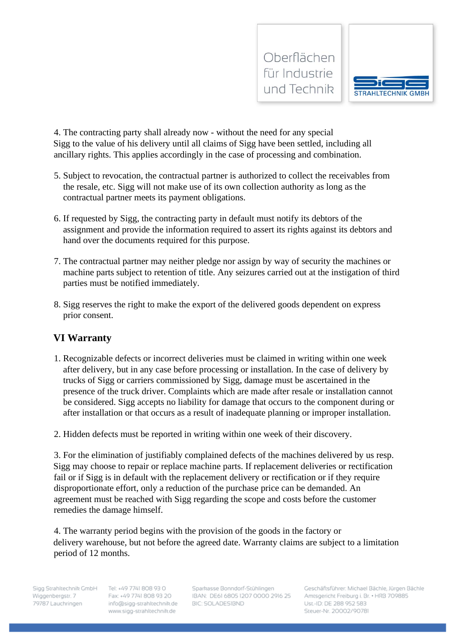



4. The contracting party shall already now - without the need for any special Sigg to the value of his delivery until all claims of Sigg have been settled, including all ancillary rights. This applies accordingly in the case of processing and combination.

- 5. Subject to revocation, the contractual partner is authorized to collect the receivables from the resale, etc. Sigg will not make use of its own collection authority as long as the contractual partner meets its payment obligations.
- 6. If requested by Sigg, the contracting party in default must notify its debtors of the assignment and provide the information required to assert its rights against its debtors and hand over the documents required for this purpose.
- 7. The contractual partner may neither pledge nor assign by way of security the machines or machine parts subject to retention of title. Any seizures carried out at the instigation of third parties must be notified immediately.
- 8. Sigg reserves the right to make the export of the delivered goods dependent on express prior consent.

## **VI Warranty**

- 1. Recognizable defects or incorrect deliveries must be claimed in writing within one week after delivery, but in any case before processing or installation. In the case of delivery by trucks of Sigg or carriers commissioned by Sigg, damage must be ascertained in the presence of the truck driver. Complaints which are made after resale or installation cannot be considered. Sigg accepts no liability for damage that occurs to the component during or after installation or that occurs as a result of inadequate planning or improper installation.
- 2. Hidden defects must be reported in writing within one week of their discovery.

3. For the elimination of justifiably complained defects of the machines delivered by us resp. Sigg may choose to repair or replace machine parts. If replacement deliveries or rectification fail or if Sigg is in default with the replacement delivery or rectification or if they require disproportionate effort, only a reduction of the purchase price can be demanded. An agreement must be reached with Sigg regarding the scope and costs before the customer remedies the damage himself.

4. The warranty period begins with the provision of the goods in the factory or delivery warehouse, but not before the agreed date. Warranty claims are subject to a limitation period of 12 months.

Sigg Strahltechnik GmbH Wiggenbergstr. 7 79787 Lauchringen

Tel: +49 7741 808 93 0 Fax: +49 7741 808 93 20 info@sigg-strahltechnik.de www.sigg-strahltechnik.de

Sparkasse Bonndorf-Stühlingen IBAN: DE61 6805 1207 0000 2916 25 **BIC: SOLADESIBND**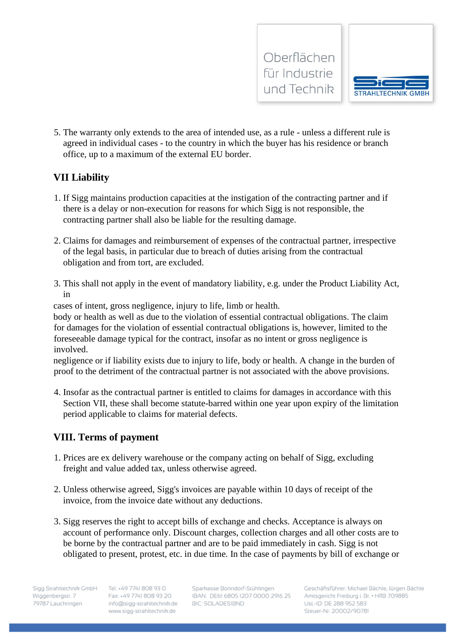



5. The warranty only extends to the area of intended use, as a rule - unless a different rule is agreed in individual cases - to the country in which the buyer has his residence or branch office, up to a maximum of the external EU border.

#### **VII Liability**

- 1. If Sigg maintains production capacities at the instigation of the contracting partner and if there is a delay or non-execution for reasons for which Sigg is not responsible, the contracting partner shall also be liable for the resulting damage.
- 2. Claims for damages and reimbursement of expenses of the contractual partner, irrespective of the legal basis, in particular due to breach of duties arising from the contractual obligation and from tort, are excluded.
- 3. This shall not apply in the event of mandatory liability, e.g. under the Product Liability Act, in

cases of intent, gross negligence, injury to life, limb or health.

body or health as well as due to the violation of essential contractual obligations. The claim for damages for the violation of essential contractual obligations is, however, limited to the foreseeable damage typical for the contract, insofar as no intent or gross negligence is involved.

negligence or if liability exists due to injury to life, body or health. A change in the burden of proof to the detriment of the contractual partner is not associated with the above provisions.

4. Insofar as the contractual partner is entitled to claims for damages in accordance with this Section VII, these shall become statute-barred within one year upon expiry of the limitation period applicable to claims for material defects.

## **VIII. Terms of payment**

- 1. Prices are ex delivery warehouse or the company acting on behalf of Sigg, excluding freight and value added tax, unless otherwise agreed.
- 2. Unless otherwise agreed, Sigg's invoices are payable within 10 days of receipt of the invoice, from the invoice date without any deductions.
- 3. Sigg reserves the right to accept bills of exchange and checks. Acceptance is always on account of performance only. Discount charges, collection charges and all other costs are to be borne by the contractual partner and are to be paid immediately in cash. Sigg is not obligated to present, protest, etc. in due time. In the case of payments by bill of exchange or

Tel: +49 7741 808 93 0 Fax: +49 7741 808 93 20 info@sigg-strahltechnik.de www.sigg-strahltechnik.de

Sparkasse Bonndorf-Stühlingen IBAN: DE61 6805 1207 0000 2916 25 **BIC: SOLADESIBND**